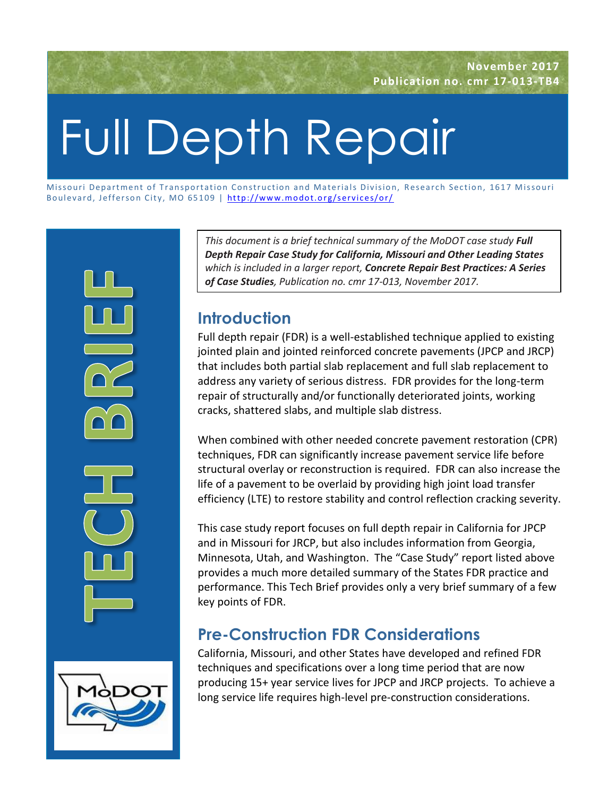# Full Depth Repair

Missouri Department of Transportation Construction and Materials Division, Research Section, 1617 Missouri Boulevard, Jefferson City, MO 65109 | http://www.modot.org/services/or/ ssouri Department of Transportation Constr<br>ulevard, Jefferson City, MO 65109 | <u>http://</u><br>.



*This document is a brief technical summary of the MoDOT case study Full Depth Repair Case Study for California, Missouri and Other Leading States which is included in a larger report, Concrete Repair Best Practices: A Series of Case Studies, Publication no. cmr 17-013, November 2017.*

## **Introduction**

Full depth repair (FDR) is a well-established technique applied to existing jointed plain and jointed reinforced concrete pavements (JPCP and JRCP) that includes both partial slab replacement and full slab replacement to address any variety of serious distress. FDR provides for the long-term repair of structurally and/or functionally deteriorated joints, working cracks, shattered slabs, and multiple slab distress.

When combined with other needed concrete pavement restoration (CPR) techniques, FDR can significantly increase pavement service life before structural overlay or reconstruction is required. FDR can also increase the life of a pavement to be overlaid by providing high joint load transfer efficiency (LTE) to restore stability and control reflection cracking severity.

This case study report focuses on full depth repair in California for JPCP and in Missouri for JRCP, but also includes information from Georgia, Minnesota, Utah, and Washington. The "Case Study" report listed above provides a much more detailed summary of the States FDR practice and performance. This Tech Brief provides only a very brief summary of a few key points of FDR.

# **Pre-Construction FDR Considerations**

California, Missouri, and other States have developed and refined FDR techniques and specifications over a long time period that are now producing 15+ year service lives for JPCP and JRCP projects. To achieve a long service life requires high-level pre-construction considerations.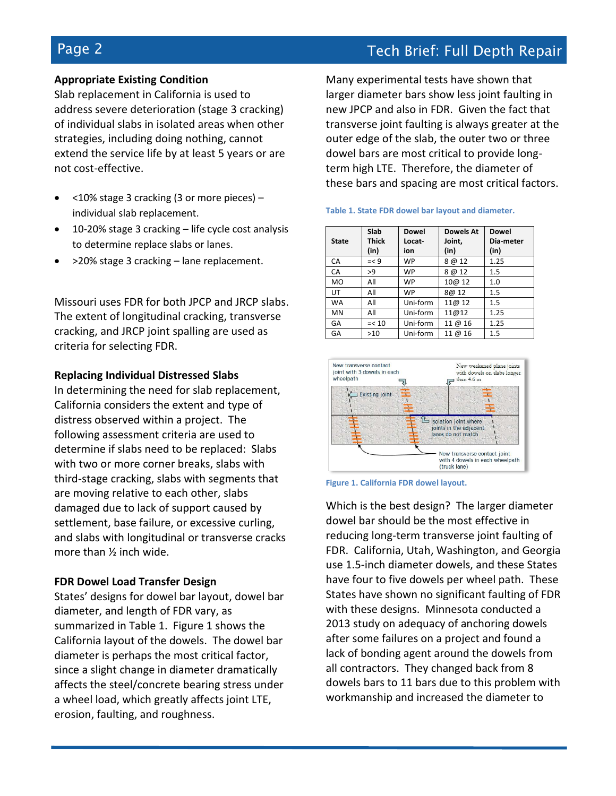## **Appropriate Existing Condition**

Slab replacement in California is used to address severe deterioration (stage 3 cracking) of individual slabs in isolated areas when other strategies, including doing nothing, cannot extend the service life by at least 5 years or are not cost-effective.

- <10% stage 3 cracking (3 or more pieces) individual slab replacement.
- 10-20% stage 3 cracking life cycle cost analysis to determine replace slabs or lanes.
- >20% stage 3 cracking lane replacement.

Missouri uses FDR for both JPCP and JRCP slabs. The extent of longitudinal cracking, transverse cracking, and JRCP joint spalling are used as criteria for selecting FDR.

#### **Replacing Individual Distressed Slabs**

In determining the need for slab replacement, California considers the extent and type of distress observed within a project. The following assessment criteria are used to determine if slabs need to be replaced: Slabs with two or more corner breaks, slabs with third-stage cracking, slabs with segments that are moving relative to each other, slabs damaged due to lack of support caused by settlement, base failure, or excessive curling, and slabs with longitudinal or transverse cracks more than ½ inch wide.

### **FDR Dowel Load Transfer Design**

States' designs for dowel bar layout, dowel bar diameter, and length of FDR vary, as summarized in Table 1. Figure 1 shows the California layout of the dowels. The dowel bar diameter is perhaps the most critical factor, since a slight change in diameter dramatically affects the steel/concrete bearing stress under a wheel load, which greatly affects joint LTE, erosion, faulting, and roughness.

Many experimental tests have shown that larger diameter bars show less joint faulting in new JPCP and also in FDR. Given the fact that transverse joint faulting is always greater at the outer edge of the slab, the outer two or three dowel bars are most critical to provide longterm high LTE. Therefore, the diameter of these bars and spacing are most critical factors.

| <b>State</b> | Slab<br><b>Thick</b><br>(in) | <b>Dowel</b><br>Locat-<br>ion | <b>Dowels At</b><br>Joint,<br>(in) | <b>Dowel</b><br>Dia-meter<br>(in) |
|--------------|------------------------------|-------------------------------|------------------------------------|-----------------------------------|
| CA           | $=< 9$                       | <b>WP</b>                     | 8@12                               | 1.25                              |
| CA           | >9                           | <b>WP</b>                     | 8 @ 12                             | 1.5                               |
| <b>MO</b>    | All                          | <b>WP</b>                     | 10@ 12                             | 1.0                               |
| UT           | All                          | <b>WP</b>                     | 8@ 12                              | 1.5                               |
| <b>WA</b>    | All                          | Uni-form                      | 11@12                              | 1.5                               |
| <b>MN</b>    | All                          | Uni-form                      | 11@12                              | 1.25                              |
| GA           | $=< 10$                      | Uni-form                      | 11 @ 16                            | 1.25                              |
| GA           | $>10$                        | Uni-form                      | 11 @ 16                            | 1.5                               |







Which is the best design? The larger diameter dowel bar should be the most effective in reducing long-term transverse joint faulting of FDR. California, Utah, Washington, and Georgia use 1.5-inch diameter dowels, and these States have four to five dowels per wheel path. These States have shown no significant faulting of FDR with these designs. Minnesota conducted a 2013 study on adequacy of anchoring dowels after some failures on a project and found a lack of bonding agent around the dowels from all contractors. They changed back from 8 dowels bars to 11 bars due to this problem with workmanship and increased the diameter to

## Page 2 Tech Brief: Full Depth Repair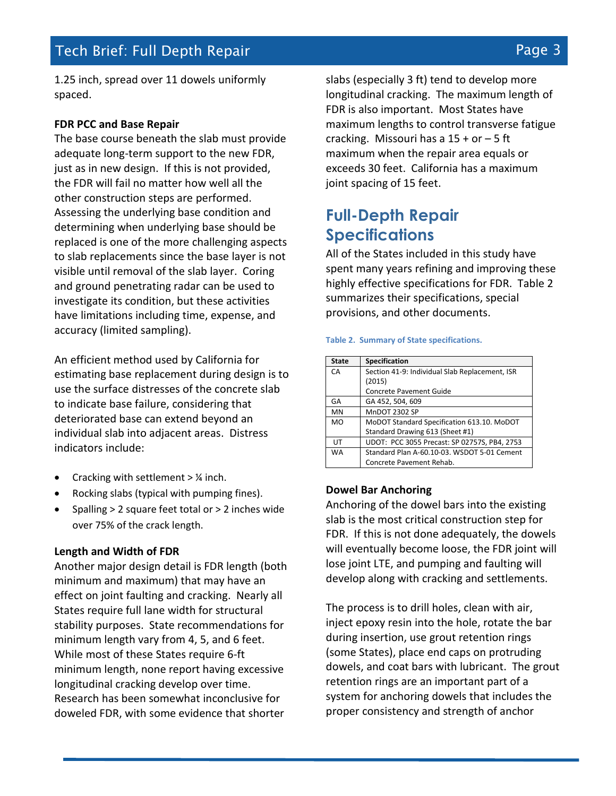1.25 inch, spread over 11 dowels uniformly spaced.

#### **FDR PCC and Base Repair**

The base course beneath the slab must provide adequate long-term support to the new FDR, just as in new design. If this is not provided, the FDR will fail no matter how well all the other construction steps are performed. Assessing the underlying base condition and determining when underlying base should be replaced is one of the more challenging aspects to slab replacements since the base layer is not visible until removal of the slab layer. Coring and ground penetrating radar can be used to investigate its condition, but these activities have limitations including time, expense, and accuracy (limited sampling).

An efficient method used by California for estimating base replacement during design is to use the surface distresses of the concrete slab to indicate base failure, considering that deteriorated base can extend beyond an individual slab into adjacent areas. Distress indicators include:

- Cracking with settlement > ¼ inch.
- Rocking slabs (typical with pumping fines).
- Spalling > 2 square feet total or > 2 inches wide over 75% of the crack length.

#### **Length and Width of FDR**

Another major design detail is FDR length (both minimum and maximum) that may have an effect on joint faulting and cracking. Nearly all States require full lane width for structural stability purposes. State recommendations for minimum length vary from 4, 5, and 6 feet. While most of these States require 6-ft minimum length, none report having excessive longitudinal cracking develop over time. Research has been somewhat inconclusive for doweled FDR, with some evidence that shorter

slabs (especially 3 ft) tend to develop more longitudinal cracking. The maximum length of FDR is also important. Most States have maximum lengths to control transverse fatigue cracking. Missouri has a  $15 + or - 5$  ft maximum when the repair area equals or exceeds 30 feet. California has a maximum joint spacing of 15 feet.

## **Full-Depth Repair Specifications**

All of the States included in this study have spent many years refining and improving these highly effective specifications for FDR. Table 2 summarizes their specifications, special provisions, and other documents.

#### **Table 2. Summary of State specifications.**

| <b>State</b> | <b>Specification</b>                           |  |  |
|--------------|------------------------------------------------|--|--|
| CA           | Section 41-9: Individual Slab Replacement, ISR |  |  |
|              | (2015)                                         |  |  |
|              | Concrete Pavement Guide                        |  |  |
| GA           | GA 452, 504, 609                               |  |  |
| <b>MN</b>    | <b>MnDOT 2302 SP</b>                           |  |  |
| <b>MO</b>    | MoDOT Standard Specification 613.10. MoDOT     |  |  |
|              | Standard Drawing 613 (Sheet #1)                |  |  |
| UΤ           | UDOT: PCC 3055 Precast: SP 02757S, PB4, 2753   |  |  |
| <b>WA</b>    | Standard Plan A-60.10-03. WSDOT 5-01 Cement    |  |  |
|              | Concrete Pavement Rehab.                       |  |  |

#### **Dowel Bar Anchoring**

Anchoring of the dowel bars into the existing slab is the most critical construction step for FDR. If this is not done adequately, the dowels will eventually become loose, the FDR joint will lose joint LTE, and pumping and faulting will develop along with cracking and settlements.

The process is to drill holes, clean with air, inject epoxy resin into the hole, rotate the bar during insertion, use grout retention rings (some States), place end caps on protruding dowels, and coat bars with lubricant. The grout retention rings are an important part of a system for anchoring dowels that includes the proper consistency and strength of anchor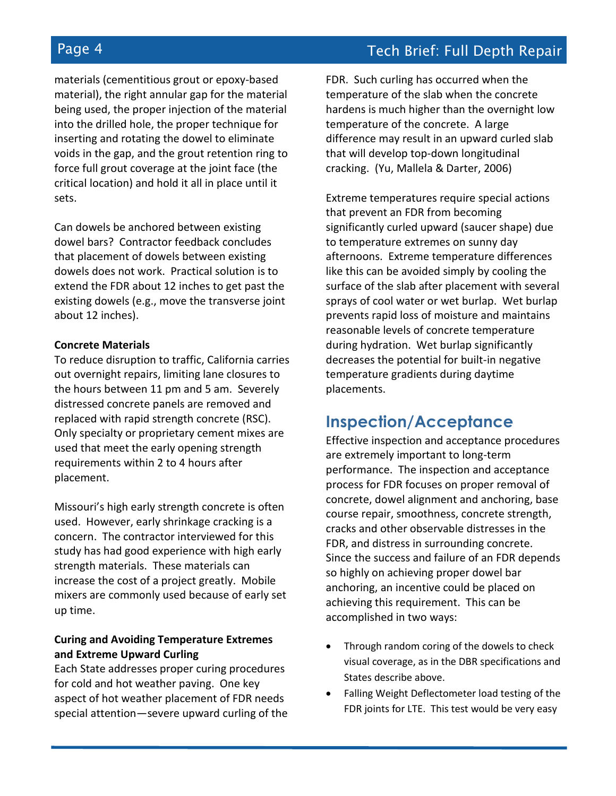materials (cementitious grout or epoxy-based material), the right annular gap for the material being used, the proper injection of the material into the drilled hole, the proper technique for inserting and rotating the dowel to eliminate voids in the gap, and the grout retention ring to force full grout coverage at the joint face (the critical location) and hold it all in place until it sets.

Can dowels be anchored between existing dowel bars? Contractor feedback concludes that placement of dowels between existing dowels does not work. Practical solution is to extend the FDR about 12 inches to get past the existing dowels (e.g., move the transverse joint about 12 inches).

#### **Concrete Materials**

To reduce disruption to traffic, California carries out overnight repairs, limiting lane closures to the hours between 11 pm and 5 am. Severely distressed concrete panels are removed and replaced with rapid strength concrete (RSC). Only specialty or proprietary cement mixes are used that meet the early opening strength requirements within 2 to 4 hours after placement.

Missouri's high early strength concrete is often used. However, early shrinkage cracking is a concern. The contractor interviewed for this study has had good experience with high early strength materials. These materials can increase the cost of a project greatly. Mobile mixers are commonly used because of early set up time.

### **Curing and Avoiding Temperature Extremes and Extreme Upward Curling**

Each State addresses proper curing procedures for cold and hot weather paving. One key aspect of hot weather placement of FDR needs special attention—severe upward curling of the FDR. Such curling has occurred when the temperature of the slab when the concrete hardens is much higher than the overnight low temperature of the concrete. A large difference may result in an upward curled slab that will develop top-down longitudinal cracking. (Yu, Mallela & Darter, 2006)

Extreme temperatures require special actions that prevent an FDR from becoming significantly curled upward (saucer shape) due to temperature extremes on sunny day afternoons. Extreme temperature differences like this can be avoided simply by cooling the surface of the slab after placement with several sprays of cool water or wet burlap. Wet burlap prevents rapid loss of moisture and maintains reasonable levels of concrete temperature during hydration. Wet burlap significantly decreases the potential for built-in negative temperature gradients during daytime placements.

## **Inspection/Acceptance**

Effective inspection and acceptance procedures are extremely important to long-term performance. The inspection and acceptance process for FDR focuses on proper removal of concrete, dowel alignment and anchoring, base course repair, smoothness, concrete strength, cracks and other observable distresses in the FDR, and distress in surrounding concrete. Since the success and failure of an FDR depends so highly on achieving proper dowel bar anchoring, an incentive could be placed on achieving this requirement. This can be accomplished in two ways:

- Through random coring of the dowels to check visual coverage, as in the DBR specifications and States describe above.
- Falling Weight Deflectometer load testing of the FDR joints for LTE. This test would be very easy

## Page 4 Tech Brief: Full Depth Repair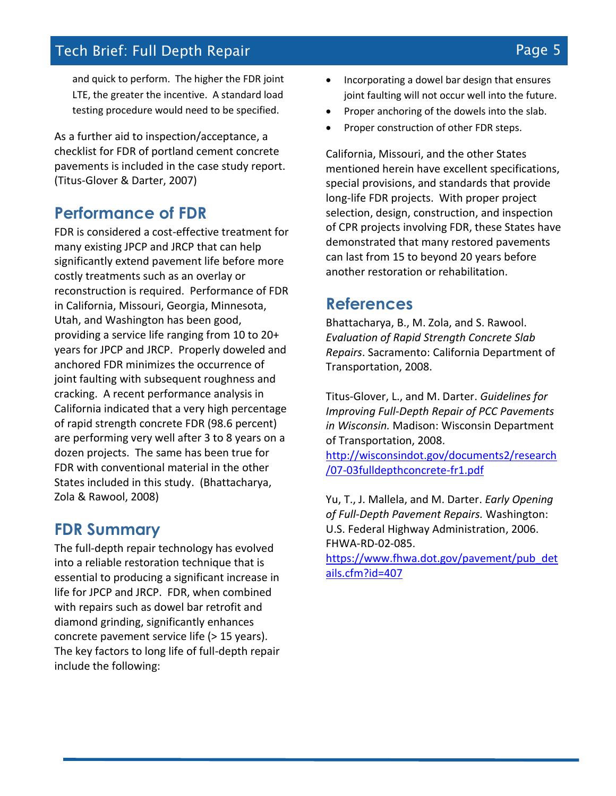and quick to perform. The higher the FDR joint LTE, the greater the incentive. A standard load testing procedure would need to be specified.

As a further aid to inspection/acceptance, a checklist for FDR of portland cement concrete pavements is included in the case study report. (Titus-Glover & Darter, 2007)

## **Performance of FDR**

FDR is considered a cost-effective treatment for many existing JPCP and JRCP that can help significantly extend pavement life before more costly treatments such as an overlay or reconstruction is required. Performance of FDR in California, Missouri, Georgia, Minnesota, Utah, and Washington has been good, providing a service life ranging from 10 to 20+ years for JPCP and JRCP. Properly doweled and anchored FDR minimizes the occurrence of joint faulting with subsequent roughness and cracking. A recent performance analysis in California indicated that a very high percentage of rapid strength concrete FDR (98.6 percent) are performing very well after 3 to 8 years on a dozen projects. The same has been true for FDR with conventional material in the other States included in this study. (Bhattacharya, Zola & Rawool, 2008)

## **FDR Summary**

The full-depth repair technology has evolved into a reliable restoration technique that is essential to producing a significant increase in life for JPCP and JRCP. FDR, when combined with repairs such as dowel bar retrofit and diamond grinding, significantly enhances concrete pavement service life (> 15 years). The key factors to long life of full-depth repair include the following:

- Incorporating a dowel bar design that ensures joint faulting will not occur well into the future.
- Proper anchoring of the dowels into the slab.
- Proper construction of other FDR steps.

California, Missouri, and the other States mentioned herein have excellent specifications, special provisions, and standards that provide long-life FDR projects. With proper project selection, design, construction, and inspection of CPR projects involving FDR, these States have demonstrated that many restored pavements can last from 15 to beyond 20 years before another restoration or rehabilitation.

## **References**

Bhattacharya, B., M. Zola, and S. Rawool. *Evaluation of Rapid Strength Concrete Slab Repairs*. Sacramento: California Department of Transportation, 2008.

Titus-Glover, L., and M. Darter. *Guidelines for Improving Full-Depth Repair of PCC Pavements in Wisconsin.* Madison: Wisconsin Department of Transportation, 2008.

[http://wisconsindot.gov/documents2/research](http://wisconsindot.gov/documents2/research/07-03fulldepthconcrete-fr1.pdf) [/07-03fulldepthconcrete-fr1.pdf](http://wisconsindot.gov/documents2/research/07-03fulldepthconcrete-fr1.pdf)

Yu, T., J. Mallela, and M. Darter. *Early Opening of Full-Depth Pavement Repairs.* Washington: U.S. Federal Highway Administration, 2006. FHWA-RD-02-085.

[https://www.fhwa.dot.gov/pavement/pub\\_det](https://www.fhwa.dot.gov/pavement/pub_details.cfm?id=407) [ails.cfm?id=407](https://www.fhwa.dot.gov/pavement/pub_details.cfm?id=407)